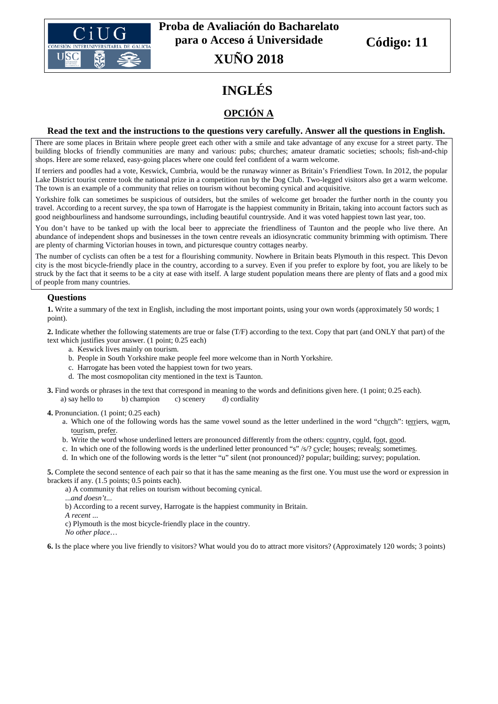

# **INGLÉS**

# **OPCIÓN A**

#### **Read the text and the instructions to the questions very carefully. Answer all the questions in English.**

There are some places in Britain where people greet each other with a smile and take advantage of any excuse for a street party. The building blocks of friendly communities are many and various: pubs; churches; amateur dramatic societies; schools; fish-and-chip shops. Here are some relaxed, easy-going places where one could feel confident of a warm welcome.

If terriers and poodles had a vote, Keswick, Cumbria, would be the runaway winner as Britain's Friendliest Town. In 2012, the popular Lake District tourist centre took the national prize in a competition run by the Dog Club. Two-legged visitors also get a warm welcome. The town is an example of a community that relies on tourism without becoming cynical and acquisitive.

Yorkshire folk can sometimes be suspicious of outsiders, but the smiles of welcome get broader the further north in the county you travel. According to a recent survey, the spa town of Harrogate is the happiest community in Britain, taking into account factors such as good neighbourliness and handsome surroundings, including beautiful countryside. And it was voted happiest town last year, too.

You don't have to be tanked up with the local beer to appreciate the friendliness of Taunton and the people who live there. An abundance of independent shops and businesses in the town centre reveals an idiosyncratic community brimming with optimism. There are plenty of charming Victorian houses in town, and picturesque country cottages nearby.

The number of cyclists can often be a test for a flourishing community. Nowhere in Britain beats Plymouth in this respect. This Devon city is the most bicycle-friendly place in the country, according to a survey. Even if you prefer to explore by foot, you are likely to be struck by the fact that it seems to be a city at ease with itself. A large student population means there are plenty of flats and a good mix of people from many countries.

#### **Questions**

**1.** Write a summary of the text in English, including the most important points, using your own words (approximately 50 words; 1 point).

**2.** Indicate whether the following statements are true or false (T/F) according to the text. Copy that part (and ONLY that part) of the text which justifies your answer. (1 point; 0.25 each)

- a. Keswick lives mainly on tourism.
- b. People in South Yorkshire make people feel more welcome than in North Yorkshire.
- c. Harrogate has been voted the happiest town for two years.
- d. The most cosmopolitan city mentioned in the text is Taunton.
- **3.** Find words or phrases in the text that correspond in meaning to the words and definitions given here. (1 point; 0.25 each). a) say hello to b) champion c) scenery d) cordiality

**4.** Pronunciation. (1 point; 0.25 each)

- a. Which one of the following words has the same vowel sound as the letter underlined in the word "church": terriers, warm, tourism, prefer.
- b. Write the word whose underlined letters are pronounced differently from the others: country, could, foot, good.
- c. In which one of the following words is the underlined letter pronounced "s" /s/? cycle; houses; reveals; sometimes.
- d. In which one of the following words is the letter "u" silent (not pronounced)? popular; building; survey; population.

**5.** Complete the second sentence of each pair so that it has the same meaning as the first one. You must use the word or expression in brackets if any. (1.5 points; 0.5 points each).

a) A community that relies on tourism without becoming cynical.

...*and doesn't*...

b) According to a recent survey, Harrogate is the happiest community in Britain.

*A recent* ...

c) Plymouth is the most bicycle-friendly place in the country.

*No other place*…

**6.** Is the place where you live friendly to visitors? What would you do to attract more visitors? (Approximately 120 words; 3 points)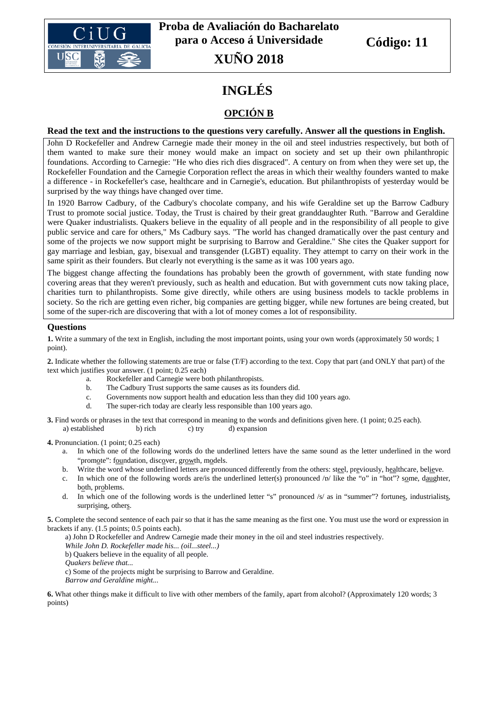

# **INGLÉS**

# **OPCIÓN B**

#### **Read the text and the instructions to the questions very carefully. Answer all the questions in English.**

John D Rockefeller and Andrew Carnegie made their money in the oil and steel industries respectively, but both of them wanted to make sure their money would make an impact on society and set up their own philanthropic foundations. According to Carnegie: "He who dies rich dies disgraced". A century on from when they were set up, the Rockefeller Foundation and the Carnegie Corporation reflect the areas in which their wealthy founders wanted to make a difference - in Rockefeller's case, healthcare and in Carnegie's, education. But philanthropists of yesterday would be surprised by the way things have changed over time.

In 1920 Barrow Cadbury, of the Cadbury's chocolate company, and his wife Geraldine set up the Barrow Cadbury Trust to promote social justice. Today, the Trust is chaired by their great granddaughter Ruth. "Barrow and Geraldine were Quaker industrialists. Quakers believe in the equality of all people and in the responsibility of all people to give public service and care for others," Ms Cadbury says. "The world has changed dramatically over the past century and some of the projects we now support might be surprising to Barrow and Geraldine." She cites the Quaker support for gay marriage and lesbian, gay, bisexual and transgender (LGBT) equality. They attempt to carry on their work in the same spirit as their founders. But clearly not everything is the same as it was 100 years ago.

The biggest change affecting the foundations has probably been the growth of government, with state funding now covering areas that they weren't previously, such as health and education. But with government cuts now taking place, charities turn to philanthropists. Some give directly, while others are using business models to tackle problems in society. So the rich are getting even richer, big companies are getting bigger, while new fortunes are being created, but some of the super-rich are discovering that with a lot of money comes a lot of responsibility.

#### **Questions**

**1.** Write a summary of the text in English, including the most important points, using your own words (approximately 50 words; 1 point).

**2.** Indicate whether the following statements are true or false (T/F) according to the text. Copy that part (and ONLY that part) of the text which justifies your answer. (1 point; 0.25 each)

- a. Rockefeller and Carnegie were both philanthropists.
- b. The Cadbury Trust supports the same causes as its founders did.
- c. Governments now support health and education less than they did 100 years ago.
- d. The super-rich today are clearly less responsible than 100 years ago.

**3.** Find words or phrases in the text that correspond in meaning to the words and definitions given here. (1 point; 0.25 each). a) established b) rich c) try d) expansion

**4.** Pronunciation. (1 point; 0.25 each)

- a. In which one of the following words do the underlined letters have the same sound as the letter underlined in the word "promote": foundation, discover, growth, models.
- b. Write the word whose underlined letters are pronounced differently from the others: steel, previously, healthcare, believe.
- c. In which one of the following words are/is the underlined letter(s) pronounced  $\sqrt{p}$  like the "o" in "hot"? some, daughter, both, problems.
- d. In which one of the following words is the underlined letter "s" pronounced /s/ as in "summer"? fortunes, industrialists, surprising, others.

**5.** Complete the second sentence of each pair so that it has the same meaning as the first one. You must use the word or expression in brackets if any. (1.5 points; 0.5 points each).

a) John D Rockefeller and Andrew Carnegie made their money in the oil and steel industries respectively.

*While John D. Rockefeller made his... (oil...steel...)*

b) Quakers believe in the equality of all people.

*Quakers believe that...*

c) Some of the projects might be surprising to Barrow and Geraldine. *Barrow and Geraldine might...*

**6.** What other things make it difficult to live with other members of the family, apart from alcohol? (Approximately 120 words; 3 points)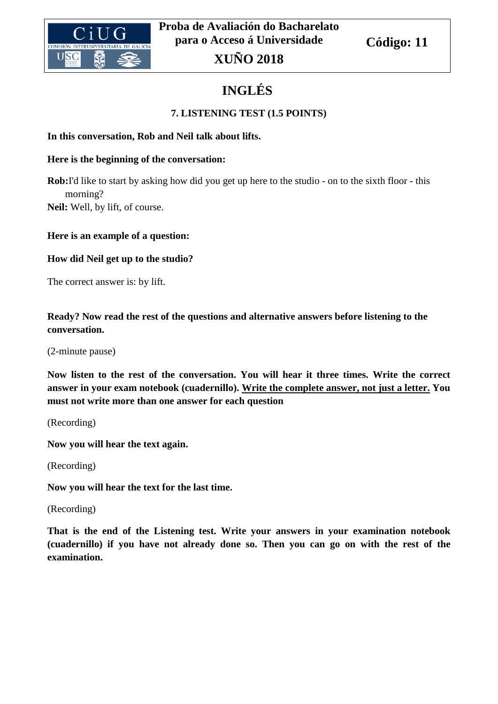

# **INGLÉS**

# **7. LISTENING TEST (1.5 POINTS)**

## **In this conversation, Rob and Neil talk about lifts.**

## **Here is the beginning of the conversation:**

**Rob:**I'd like to start by asking how did you get up here to the studio - on to the sixth floor - this morning? **Neil:** Well, by lift, of course.

## **Here is an example of a question:**

## **How did Neil get up to the studio?**

The correct answer is: by lift.

**Ready? Now read the rest of the questions and alternative answers before listening to the conversation.**

(2-minute pause)

**Now listen to the rest of the conversation. You will hear it three times. Write the correct answer in your exam notebook (cuadernillo). Write the complete answer, not just a letter. You must not write more than one answer for each question**

(Recording)

**Now you will hear the text again.** 

(Recording)

**Now you will hear the text for the last time.** 

(Recording)

**That is the end of the Listening test. Write your answers in your examination notebook (cuadernillo) if you have not already done so. Then you can go on with the rest of the examination.**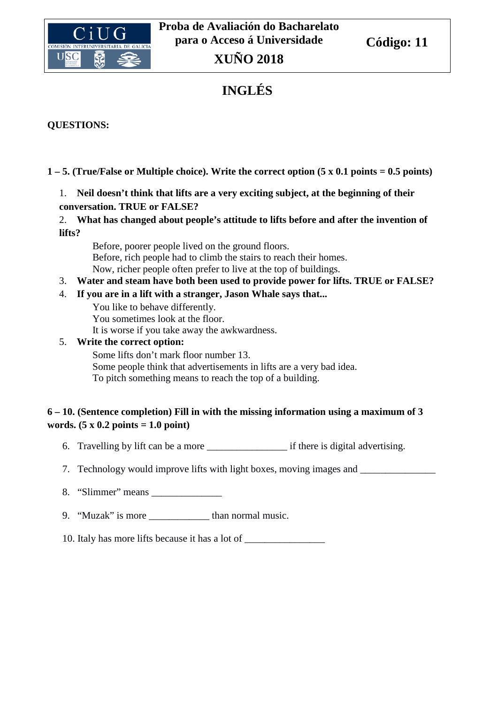

# **INGLÉS**

# **QUESTIONS:**

# **1 – 5. (True/False or Multiple choice). Write the correct option (5 x 0.1 points = 0.5 points)**

# 1. **Neil doesn't think that lifts are a very exciting subject, at the beginning of their conversation. TRUE or FALSE?**

2. **What has changed about people's attitude to lifts before and after the invention of lifts?**

Before, poorer people lived on the ground floors. Before, rich people had to climb the stairs to reach their homes. Now, richer people often prefer to live at the top of buildings.

- 3. **Water and steam have both been used to provide power for lifts. TRUE or FALSE?**
- 4. **If you are in a lift with a stranger, Jason Whale says that...**

You like to behave differently. You sometimes look at the floor. It is worse if you take away the awkwardness.

## 5. **Write the correct option:**

Some lifts don't mark floor number 13. Some people think that advertisements in lifts are a very bad idea. To pitch something means to reach the top of a building.

# **6 – 10. (Sentence completion) Fill in with the missing information using a maximum of 3 words. (5 x 0.2 points = 1.0 point)**

- 6. Travelling by lift can be a more if there is digital advertising.
- 7. Technology would improve lifts with light boxes, moving images and \_\_\_\_\_\_\_\_\_\_
- 8. "Slimmer" means
- 9. "Muzak" is more than normal music.

10. Italy has more lifts because it has a lot of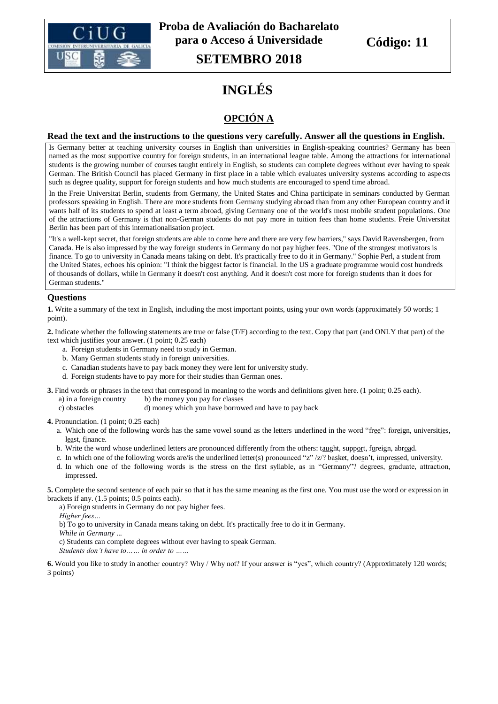

# **INGLÉS**

# **OPCIÓN A**

#### **Read the text and the instructions to the questions very carefully. Answer all the questions in English.**

Is Germany better at teaching university courses in English than universities in English-speaking countries? Germany has been named as the most supportive country for foreign students, in an international league table. Among the attractions for international students is the growing number of courses taught entirely in English, so students can complete degrees without ever having to speak German. The British Council has placed Germany in first place in a table which evaluates university systems according to aspects such as degree quality, support for foreign students and how much students are encouraged to spend time abroad.

In the Freie Universitat Berlin, students from Germany, the United States and China participate in seminars conducted by German professors speaking in English. There are more students from Germany studying abroad than from any other European country and it wants half of its students to spend at least a term abroad, giving Germany one of the world's most mobile student populations. One of the attractions of Germany is that non-German students do not pay more in tuition fees than home students. Freie Universitat Berlin has been part of this internationalisation project.

"It's a well-kept secret, that foreign students are able to come here and there are very few barriers," says David Ravensbergen, from Canada. He is also impressed by the way foreign students in Germany do not pay higher fees. "One of the strongest motivators is finance. To go to university in Canada means taking on debt. It's practically free to do it in Germany." Sophie Perl, a student from the United States, echoes his opinion: "I think the biggest factor is financial. In the US a graduate programme would cost hundreds of thousands of dollars, while in Germany it doesn't cost anything. And it doesn't cost more for foreign students than it does for German students."

#### **Questions**

**1.** Write a summary of the text in English, including the most important points, using your own words (approximately 50 words; 1 point).

**2.** Indicate whether the following statements are true or false (T/F) according to the text. Copy that part (and ONLY that part) of the text which justifies your answer. (1 point; 0.25 each)

- a. Foreign students in Germany need to study in German.
- b. Many German students study in foreign universities.
- c. Canadian students have to pay back money they were lent for university study.
- d. Foreign students have to pay more for their studies than German ones.

**3.** Find words or phrases in the text that correspond in meaning to the words and definitions given here. (1 point; 0.25 each).

- a) in a foreign country b) the money you pay for classes
- c) obstacles d) money which you have borrowed and have to pay back
- **4.** Pronunciation. (1 point; 0.25 each)
	- a. Which one of the following words has the same vowel sound as the letters underlined in the word "free": foreign, universities, least, finance.
	- b. Write the word whose underlined letters are pronounced differently from the others: taught, support, foreign, abroad.
	- c. In which one of the following words are/is the underlined letter(s) pronounced "z"  $|z|$ ? basket, doesn't, impressed, university.
	- d. In which one of the following words is the stress on the first syllable, as in "Germany"? degrees, graduate, attraction, impressed.

**5.** Complete the second sentence of each pair so that it has the same meaning as the first one. You must use the word or expression in brackets if any. (1.5 points; 0.5 points each).

a) Foreign students in Germany do not pay higher fees.

*Higher fees…*

b) To go to university in Canada means taking on debt. It's practically free to do it in Germany.

*While in Germany* ...

c) Students can complete degrees without ever having to speak German.

*Students don't have to…… in order to ……*

**6.** Would you like to study in another country? Why / Why not? If your answer is "yes", which country? (Approximately 120 words; 3 points)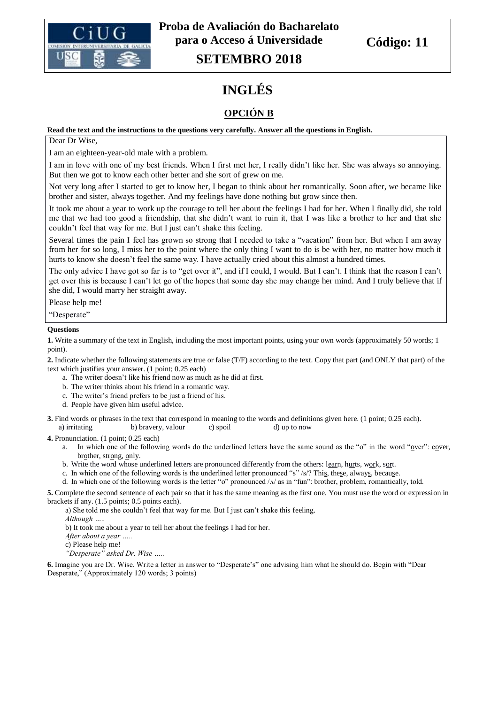

# **INGLÉS**

# **OPCIÓN B**

#### **Read the text and the instructions to the questions very carefully. Answer all the questions in English.**

Dear Dr Wise,

I am an eighteen-year-old male with a problem.

I am in love with one of my best friends. When I first met her, I really didn't like her. She was always so annoying. But then we got to know each other better and she sort of grew on me.

Not very long after I started to get to know her, I began to think about her romantically. Soon after, we became like brother and sister, always together. And my feelings have done nothing but grow since then.

It took me about a year to work up the courage to tell her about the feelings I had for her. When I finally did, she told me that we had too good a friendship, that she didn't want to ruin it, that I was like a brother to her and that she couldn't feel that way for me. But I just can't shake this feeling.

Several times the pain I feel has grown so strong that I needed to take a "vacation" from her. But when I am away from her for so long, I miss her to the point where the only thing I want to do is be with her, no matter how much it hurts to know she doesn't feel the same way. I have actually cried about this almost a hundred times.

The only advice I have got so far is to "get over it", and if I could, I would. But I can't. I think that the reason I can't get over this is because I can't let go of the hopes that some day she may change her mind. And I truly believe that if she did, I would marry her straight away.

Please help me!

"Desperate"

#### **Questions**

**1.** Write a summary of the text in English, including the most important points, using your own words (approximately 50 words; 1 point).

**2.** Indicate whether the following statements are true or false (T/F) according to the text. Copy that part (and ONLY that part) of the text which justifies your answer. (1 point; 0.25 each)

- a. The writer doesn't like his friend now as much as he did at first.
- b. The writer thinks about his friend in a romantic way.
- c. The writer's friend prefers to be just a friend of his.
- d. People have given him useful advice.

**3.** Find words or phrases in the text that correspond in meaning to the words and definitions given here. (1 point; 0.25 each). a) irritating b) bravery, valour c) spoil d) up to now

**4.** Pronunciation. (1 point; 0.25 each)

- a. In which one of the following words do the underlined letters have the same sound as the "o" in the word "over": cover, brother, strong, only.
- b. Write the word whose underlined letters are pronounced differently from the others: learn, hurts, work, sort.
- c. In which one of the following words is the underlined letter pronounced "s" /s/? This, these, always, because.
- d. In which one of the following words is the letter "o" pronounced  $/\lambda$  as in "fun": brother, problem, romantically, told.

**5.** Complete the second sentence of each pair so that it has the same meaning as the first one. You must use the word or expression in brackets if any. (1.5 points; 0.5 points each).

a) She told me she couldn't feel that way for me. But I just can't shake this feeling.

*Although …..*

b) It took me about a year to tell her about the feelings I had for her.

*After about a year …..*

c) Please help me!

*"Desperate" asked Dr. Wise …..*

**6.** Imagine you are Dr. Wise. Write a letter in answer to "Desperate's" one advising him what he should do. Begin with "Dear Desperate," (Approximately 120 words; 3 points)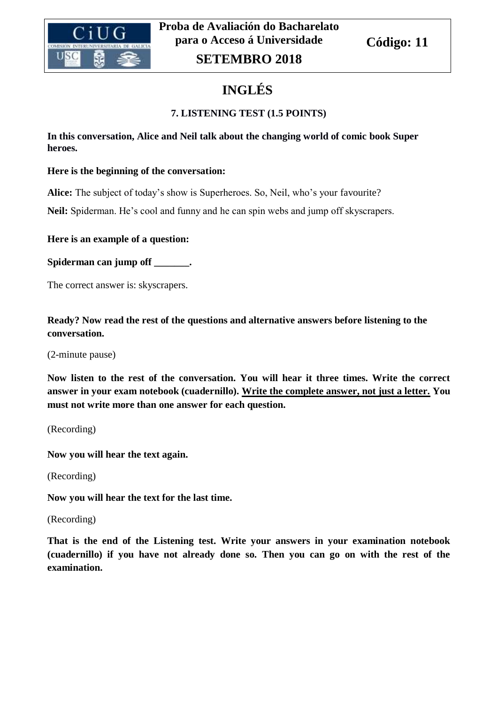

# **INGLÉS**

# **7. LISTENING TEST (1.5 POINTS)**

**In this conversation, Alice and Neil talk about the changing world of comic book Super heroes.** 

## **Here is the beginning of the conversation:**

**Alice:** The subject of today's show is Superheroes. So, Neil, who's your favourite?

**Neil:** Spiderman. He's cool and funny and he can spin webs and jump off skyscrapers.

**Here is an example of a question:** 

**Spiderman can jump off \_\_\_\_\_\_\_.**

The correct answer is: skyscrapers.

**Ready? Now read the rest of the questions and alternative answers before listening to the conversation.**

(2-minute pause)

**Now listen to the rest of the conversation. You will hear it three times. Write the correct answer in your exam notebook (cuadernillo). Write the complete answer, not just a letter. You must not write more than one answer for each question.**

(Recording)

**Now you will hear the text again.** 

(Recording)

**Now you will hear the text for the last time.** 

(Recording)

**That is the end of the Listening test. Write your answers in your examination notebook (cuadernillo) if you have not already done so. Then you can go on with the rest of the examination.**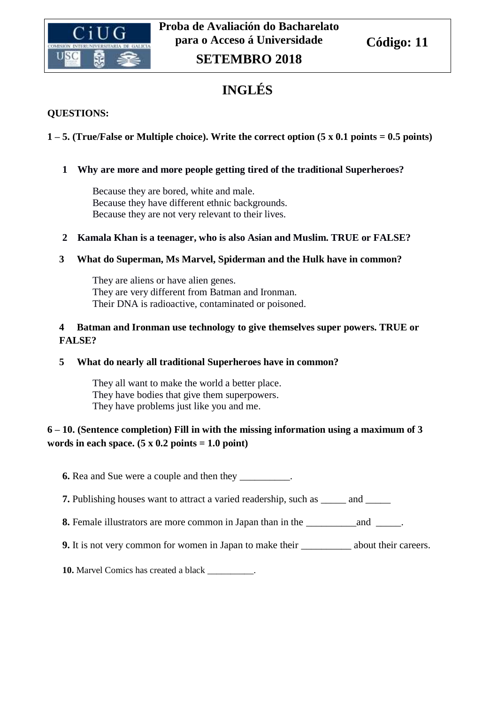

# **INGLÉS**

## **QUESTIONS:**

# **1 – 5. (True/False or Multiple choice). Write the correct option (5 x 0.1 points = 0.5 points)**

## **1 Why are more and more people getting tired of the traditional Superheroes?**

Because they are bored, white and male. Because they have different ethnic backgrounds. Because they are not very relevant to their lives.

# **2 Kamala Khan is a teenager, who is also Asian and Muslim. TRUE or FALSE?**

## **3 What do Superman, Ms Marvel, Spiderman and the Hulk have in common?**

They are aliens or have alien genes. They are very different from Batman and Ironman. Their DNA is radioactive, contaminated or poisoned.

## **4 Batman and Ironman use technology to give themselves super powers. TRUE or FALSE?**

### **5 What do nearly all traditional Superheroes have in common?**

They all want to make the world a better place. They have bodies that give them superpowers. They have problems just like you and me.

# **6 – 10. (Sentence completion) Fill in with the missing information using a maximum of 3**  words in each space.  $(5 \times 0.2 \text{ points} = 1.0 \text{ point})$

**6.** Rea and Sue were a couple and then they \_\_\_\_\_\_\_\_\_\_.

**7.** Publishing houses want to attract a varied readership, such as \_\_\_\_\_ and \_\_\_

**8.** Female illustrators are more common in Japan than in the \_\_\_\_\_\_\_\_\_\_and \_\_\_\_\_.

**9.** It is not very common for women in Japan to make their **subset of the set of the careers**.

**10.** Marvel Comics has created a black \_\_\_\_\_\_\_\_\_\_.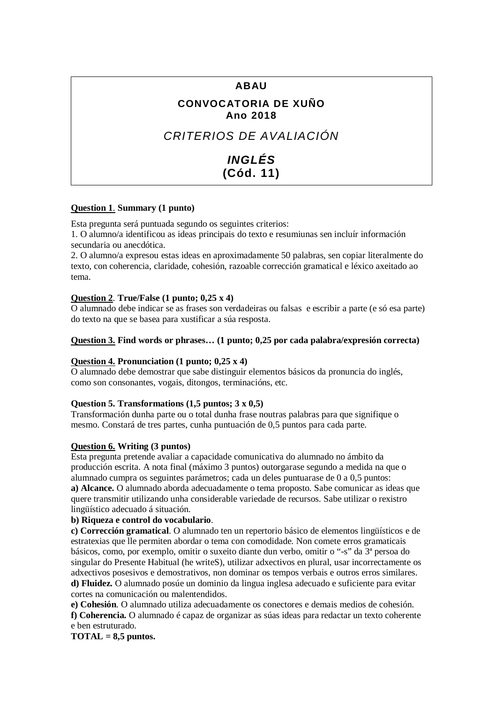# **ABAU**

# **CONVOCATORIA DE XUÑO Ano 2018**

# *CRITERIOS DE AVALIACIÓN*

# *INGLÉS* **(Cód. 11)**

### **Question 1**. **Summary (1 punto)**

Esta pregunta será puntuada segundo os seguintes criterios:

1. O alumno/a identificou as ideas principais do texto e resumiunas sen incluír información secundaria ou anecdótica.

2. O alumno/a expresou estas ideas en aproximadamente 50 palabras, sen copiar literalmente do texto, con coherencia, claridade, cohesión, razoable corrección gramatical e léxico axeitado ao tema.

#### **Question 2**. **True/False (1 punto; 0,25 x 4)**

O alumnado debe indicar se as frases son verdadeiras ou falsas e escribir a parte (e só esa parte) do texto na que se basea para xustificar a súa resposta.

#### **Question 3. Find words or phrases… (1 punto; 0,25 por cada palabra/expresión correcta)**

### **Question 4. Pronunciation (1 punto; 0,25 x 4)**

O alumnado debe demostrar que sabe distinguir elementos básicos da pronuncia do inglés, como son consonantes, vogais, ditongos, terminacións, etc.

#### **Question 5. Transformations (1,5 puntos; 3 x 0,5)**

Transformación dunha parte ou o total dunha frase noutras palabras para que signifique o mesmo. Constará de tres partes, cunha puntuación de 0,5 puntos para cada parte.

#### **Question 6. Writing (3 puntos)**

Esta pregunta pretende avaliar a capacidade comunicativa do alumnado no ámbito da producción escrita. A nota final (máximo 3 puntos) outorgarase segundo a medida na que o alumnado cumpra os seguintes parámetros; cada un deles puntuarase de 0 a 0,5 puntos: **a) Alcance.** O alumnado aborda adecuadamente o tema proposto. Sabe comunicar as ideas que quere transmitir utilizando unha considerable variedade de recursos. Sabe utilizar o rexistro lingüístico adecuado á situación.

#### **b) Riqueza e control do vocabulario**.

**c) Corrección gramatical**. O alumnado ten un repertorio básico de elementos lingüísticos e de estratexias que lle permiten abordar o tema con comodidade. Non comete erros gramaticais básicos, como, por exemplo, omitir o suxeito diante dun verbo, omitir o "-s" da 3ª persoa do singular do Presente Habitual (he writeS), utilizar adxectivos en plural, usar incorrectamente os adxectivos posesivos e demostrativos, non dominar os tempos verbais e outros erros similares. **d) Fluidez.** O alumnado posúe un dominio da lingua inglesa adecuado e suficiente para evitar cortes na comunicación ou malentendidos.

**e) Cohesión**. O alumnado utiliza adecuadamente os conectores e demais medios de cohesión. **f) Coherencia.** O alumnado é capaz de organizar as súas ideas para redactar un texto coherente e ben estruturado.

**TOTAL = 8,5 puntos.**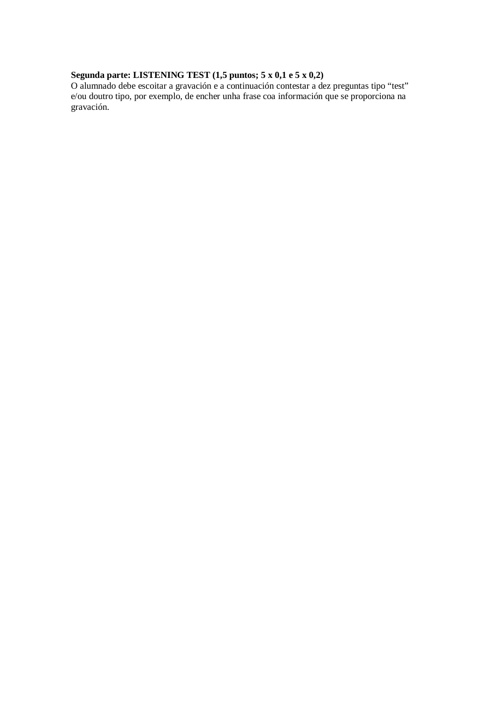#### **Segunda parte: LISTENING TEST (1,5 puntos; 5 x 0,1 e 5 x 0,2)**

O alumnado debe escoitar a gravación e a continuación contestar a dez preguntas tipo "test" e/ou doutro tipo, por exemplo, de encher unha frase coa información que se proporciona na gravación.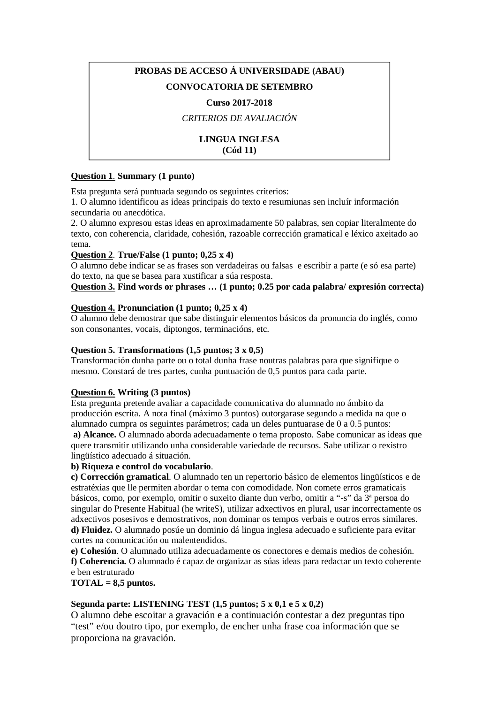# **PROBAS DE ACCESO Á UNIVERSIDADE (ABAU) CONVOCATORIA DE SETEMBRO**

#### **Curso 2017-2018**

### *CRITERIOS DE AVALIACIÓN*

### **LINGUA INGLESA (Cód 11)**

#### **Question 1**. **Summary (1 punto)**

Esta pregunta será puntuada segundo os seguintes criterios:

1. O alumno identificou as ideas principais do texto e resumiunas sen incluír información secundaria ou anecdótica.

2. O alumno expresou estas ideas en aproximadamente 50 palabras, sen copiar literalmente do texto, con coherencia, claridade, cohesión, razoable corrección gramatical e léxico axeitado ao tema.

### **Question 2**. **True/False (1 punto; 0,25 x 4)**

O alumno debe indicar se as frases son verdadeiras ou falsas e escribir a parte (e só esa parte) do texto, na que se basea para xustificar a súa resposta.

#### **Question 3. Find words or phrases … (1 punto; 0.25 por cada palabra/ expresión correcta)**

#### **Question 4. Pronunciation (1 punto; 0,25 x 4)**

O alumno debe demostrar que sabe distinguir elementos básicos da pronuncia do inglés, como son consonantes, vocais, diptongos, terminacións, etc.

#### **Question 5. Transformations (1,5 puntos; 3 x 0,5)**

Transformación dunha parte ou o total dunha frase noutras palabras para que signifique o mesmo. Constará de tres partes, cunha puntuación de 0,5 puntos para cada parte.

#### **Question 6. Writing (3 puntos)**

Esta pregunta pretende avaliar a capacidade comunicativa do alumnado no ámbito da producción escrita. A nota final (máximo 3 puntos) outorgarase segundo a medida na que o alumnado cumpra os seguintes parámetros; cada un deles puntuarase de 0 a 0.5 puntos: **a) Alcance.** O alumnado aborda adecuadamente o tema proposto. Sabe comunicar as ideas que quere transmitir utilizando unha considerable variedade de recursos. Sabe utilizar o rexistro lingüístico adecuado á situación.

#### **b) Riqueza e control do vocabulario**.

**c) Corrección gramatical**. O alumnado ten un repertorio básico de elementos lingüísticos e de estratéxias que lle permiten abordar o tema con comodidade. Non comete erros gramaticais básicos, como, por exemplo, omitir o suxeito diante dun verbo, omitir a "-s" da 3ª persoa do singular do Presente Habitual (he writeS), utilizar adxectivos en plural, usar incorrectamente os adxectivos posesivos e demostrativos, non dominar os tempos verbais e outros erros similares. **d) Fluidez.** O alumnado posúe un dominio dá lingua inglesa adecuado e suficiente para evitar cortes na comunicación ou malentendidos.

**e) Cohesión**. O alumnado utiliza adecuadamente os conectores e demais medios de cohesión. **f) Coherencia.** O alumnado é capaz de organizar as súas ideas para redactar un texto coherente e ben estruturado

**TOTAL = 8,5 puntos.**

### **Segunda parte: LISTENING TEST (1,5 puntos; 5 x 0,1 e 5 x 0,2)**

O alumno debe escoitar a gravación e a continuación contestar a dez preguntas tipo "test" e/ou doutro tipo, por exemplo, de encher unha frase coa información que se proporciona na gravación.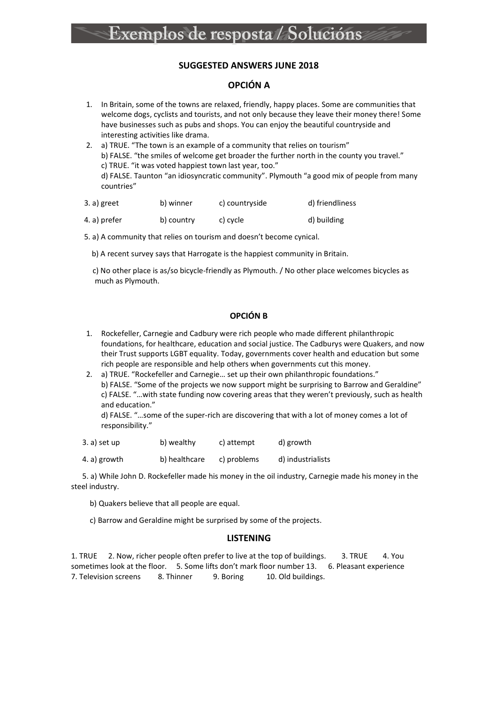#### **SUGGESTED ANSWERS JUNE 2018**

#### **OPCIÓN A**

- 1. In Britain, some of the towns are relaxed, friendly, happy places. Some are communities that welcome dogs, cyclists and tourists, and not only because they leave their money there! Some have businesses such as pubs and shops. You can enjoy the beautiful countryside and interesting activities like drama.
- 2. a) TRUE. "The town is an example of a community that relies on tourism" b) FALSE. "the smiles of welcome get broader the further north in the county you travel." c) TRUE. "it was voted happiest town last year, too." d) FALSE. Taunton "an idiosyncratic community". Plymouth "a good mix of people from many countries"

| 3. a) greet  | b) winner  | c) countryside | d) friendliness |
|--------------|------------|----------------|-----------------|
| 4. a) prefer | b) country | c) cycle       | d) building     |

5. a) A community that relies on tourism and doesn't become cynical.

b) A recent survey says that Harrogate is the happiest community in Britain.

 c) No other place is as/so bicycle-friendly as Plymouth. / No other place welcomes bicycles as much as Plymouth.

#### **OPCIÓN B**

- 1. Rockefeller, Carnegie and Cadbury were rich people who made different philanthropic foundations, for healthcare, education and social justice. The Cadburys were Quakers, and now their Trust supports LGBT equality. Today, governments cover health and education but some rich people are responsible and help others when governments cut this money.
- 2. a) TRUE. "Rockefeller and Carnegie… set up their own philanthropic foundations." b) FALSE. "Some of the projects we now support might be surprising to Barrow and Geraldine" c) FALSE. "…with state funding now covering areas that they weren't previously, such as health and education."

d) FALSE. "…some of the super-rich are discovering that with a lot of money comes a lot of responsibility."

- 3. a) set up b) wealthy c) attempt d) growth
- 4. a) growth b) healthcare c) problems d) industrialists

 5. a) While John D. Rockefeller made his money in the oil industry, Carnegie made his money in the steel industry.

- b) Quakers believe that all people are equal.
- c) Barrow and Geraldine might be surprised by some of the projects.

#### **LISTENING**

1. TRUE 2. Now, richer people often prefer to live at the top of buildings. 3. TRUE 4. You sometimes look at the floor. 5. Some lifts don't mark floor number 13. 6. Pleasant experience 7. Television screens 8. Thinner 9. Boring 10. Old buildings.